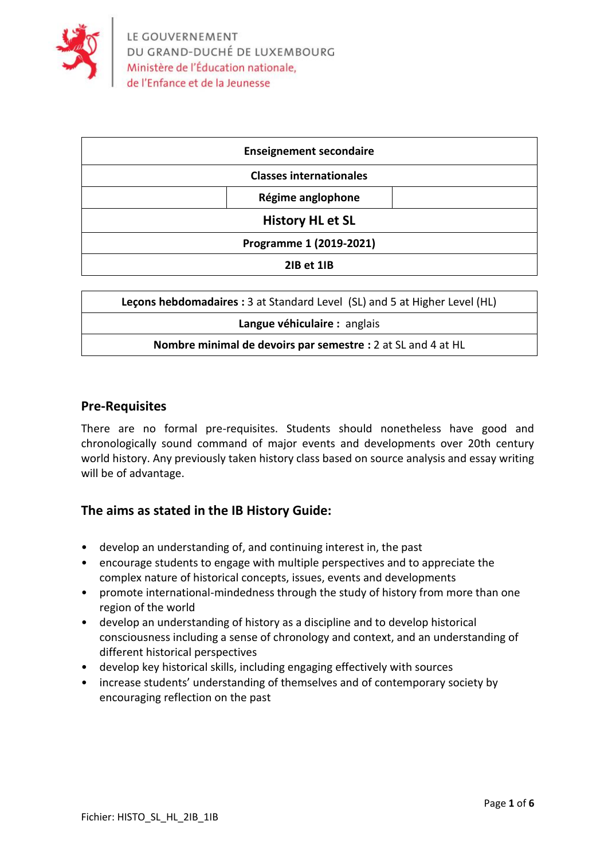

| <b>Enseignement secondaire</b> |
|--------------------------------|
| <b>Classes internationales</b> |
| Régime anglophone              |
| <b>History HL et SL</b>        |
| Programme 1 (2019-2021)        |
| 2IB et 1IB                     |

| Lecons hebdomadaires : 3 at Standard Level (SL) and 5 at Higher Level (HL) |  |  |  |
|----------------------------------------------------------------------------|--|--|--|
| Langue véhiculaire : anglais                                               |  |  |  |
| Nombre minimal de devoirs par semestre : 2 at SL and 4 at HL               |  |  |  |

### **Pre-Requisites**

There are no formal pre-requisites. Students should nonetheless have good and chronologically sound command of major events and developments over 20th century world history. Any previously taken history class based on source analysis and essay writing will be of advantage.

### **The aims as stated in the IB History Guide:**

- develop an understanding of, and continuing interest in, the past
- encourage students to engage with multiple perspectives and to appreciate the complex nature of historical concepts, issues, events and developments
- promote international-mindedness through the study of history from more than one region of the world
- develop an understanding of history as a discipline and to develop historical consciousness including a sense of chronology and context, and an understanding of different historical perspectives
- develop key historical skills, including engaging effectively with sources
- increase students' understanding of themselves and of contemporary society by encouraging reflection on the past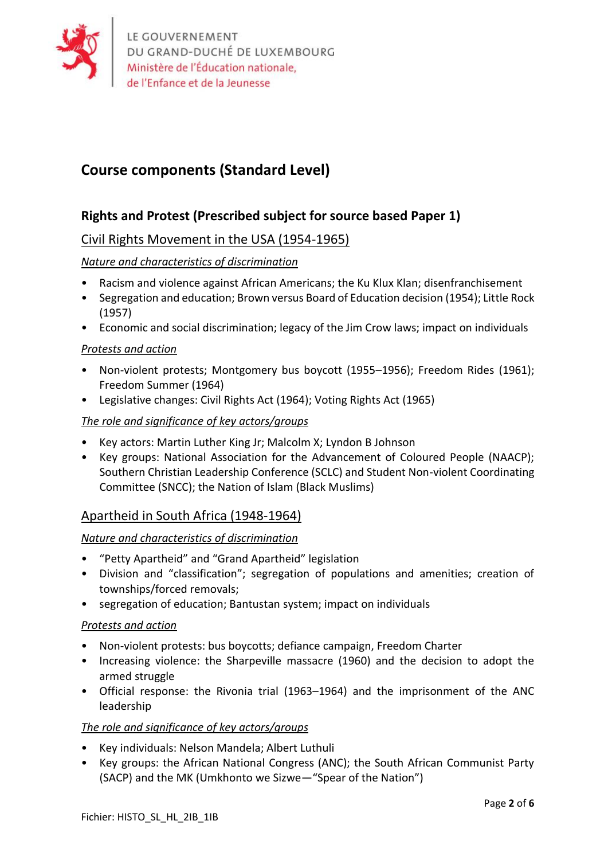

# **Course components (Standard Level)**

# **Rights and Protest (Prescribed subject for source based Paper 1)**

## Civil Rights Movement in the USA (1954-1965)

### *Nature and characteristics of discrimination*

- Racism and violence against African Americans; the Ku Klux Klan; disenfranchisement
- Segregation and education; Brown versus Board of Education decision (1954); Little Rock (1957)
- Economic and social discrimination; legacy of the Jim Crow laws; impact on individuals

### *Protests and action*

- Non-violent protests; Montgomery bus boycott (1955–1956); Freedom Rides (1961); Freedom Summer (1964)
- Legislative changes: Civil Rights Act (1964); Voting Rights Act (1965)

### *The role and significance of key actors/groups*

- Key actors: Martin Luther King Jr; Malcolm X; Lyndon B Johnson
- Key groups: National Association for the Advancement of Coloured People (NAACP); Southern Christian Leadership Conference (SCLC) and Student Non-violent Coordinating Committee (SNCC); the Nation of Islam (Black Muslims)

### Apartheid in South Africa (1948-1964)

### *Nature and characteristics of discrimination*

- "Petty Apartheid" and "Grand Apartheid" legislation
- Division and "classification"; segregation of populations and amenities; creation of townships/forced removals;
- segregation of education; Bantustan system; impact on individuals

### *Protests and action*

- Non-violent protests: bus boycotts; defiance campaign, Freedom Charter
- Increasing violence: the Sharpeville massacre (1960) and the decision to adopt the armed struggle
- Official response: the Rivonia trial (1963–1964) and the imprisonment of the ANC leadership

### *The role and significance of key actors/groups*

- Key individuals: Nelson Mandela; Albert Luthuli
- Key groups: the African National Congress (ANC); the South African Communist Party (SACP) and the MK (Umkhonto we Sizwe—"Spear of the Nation")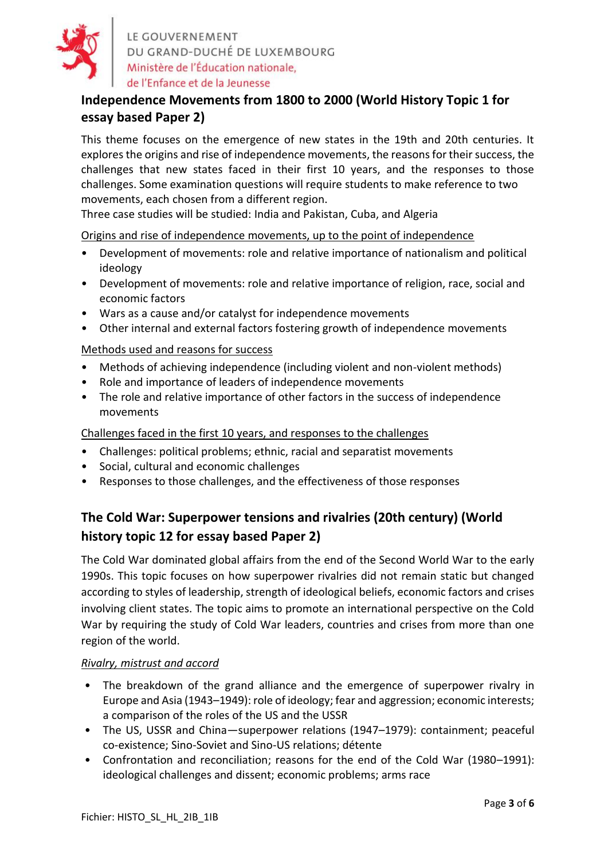

LE GOUVERNEMENT DU GRAND-DUCHÉ DE LUXEMBOURG Ministère de l'Éducation nationale, de l'Enfance et de la Jeunesse

# **Independence Movements from 1800 to 2000 (World History Topic 1 for essay based Paper 2)**

This theme focuses on the emergence of new states in the 19th and 20th centuries. It explores the origins and rise of independence movements, the reasons for their success, the challenges that new states faced in their first 10 years, and the responses to those challenges. Some examination questions will require students to make reference to two movements, each chosen from a different region.

Three case studies will be studied: India and Pakistan, Cuba, and Algeria

Origins and rise of independence movements, up to the point of independence

- Development of movements: role and relative importance of nationalism and political ideology
- Development of movements: role and relative importance of religion, race, social and economic factors
- Wars as a cause and/or catalyst for independence movements
- Other internal and external factors fostering growth of independence movements

### Methods used and reasons for success

- Methods of achieving independence (including violent and non-violent methods)
- Role and importance of leaders of independence movements
- The role and relative importance of other factors in the success of independence movements

Challenges faced in the first 10 years, and responses to the challenges

- Challenges: political problems; ethnic, racial and separatist movements
- Social, cultural and economic challenges
- Responses to those challenges, and the effectiveness of those responses

# **The Cold War: Superpower tensions and rivalries (20th century) (World history topic 12 for essay based Paper 2)**

The Cold War dominated global affairs from the end of the Second World War to the early 1990s. This topic focuses on how superpower rivalries did not remain static but changed according to styles of leadership, strength of ideological beliefs, economic factors and crises involving client states. The topic aims to promote an international perspective on the Cold War by requiring the study of Cold War leaders, countries and crises from more than one region of the world.

### *Rivalry, mistrust and accord*

- The breakdown of the grand alliance and the emergence of superpower rivalry in Europe and Asia (1943–1949): role of ideology; fear and aggression; economic interests; a comparison of the roles of the US and the USSR
- The US, USSR and China—superpower relations (1947–1979): containment; peaceful co-existence; Sino-Soviet and Sino-US relations; détente
- Confrontation and reconciliation; reasons for the end of the Cold War (1980–1991): ideological challenges and dissent; economic problems; arms race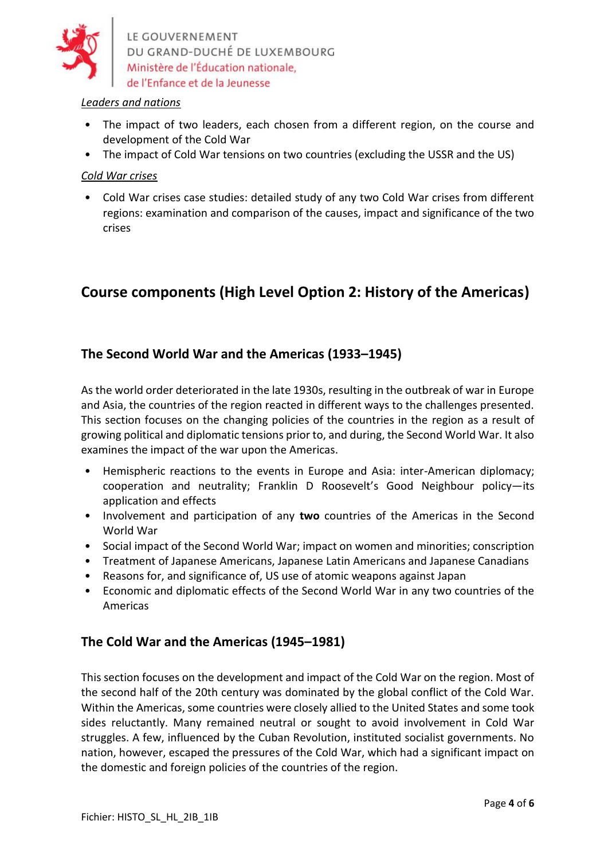

LE GOUVERNEMENT DU GRAND-DUCHÉ DE LUXEMBOURG Ministère de l'Éducation nationale,

### *Leaders and nations*

- The impact of two leaders, each chosen from a different region, on the course and development of the Cold War
- The impact of Cold War tensions on two countries (excluding the USSR and the US)

### *Cold War crises*

• Cold War crises case studies: detailed study of any two Cold War crises from different regions: examination and comparison of the causes, impact and significance of the two crises

# **Course components (High Level Option 2: History of the Americas)**

# **The Second World War and the Americas (1933–1945)**

As the world order deteriorated in the late 1930s, resulting in the outbreak of war in Europe and Asia, the countries of the region reacted in different ways to the challenges presented. This section focuses on the changing policies of the countries in the region as a result of growing political and diplomatic tensions prior to, and during, the Second World War. It also examines the impact of the war upon the Americas.

- Hemispheric reactions to the events in Europe and Asia: inter-American diplomacy; cooperation and neutrality; Franklin D Roosevelt's Good Neighbour policy—its application and effects
- Involvement and participation of any **two** countries of the Americas in the Second World War
- Social impact of the Second World War; impact on women and minorities; conscription
- Treatment of Japanese Americans, Japanese Latin Americans and Japanese Canadians
- Reasons for, and significance of, US use of atomic weapons against Japan
- Economic and diplomatic effects of the Second World War in any two countries of the Americas

### **The Cold War and the Americas (1945–1981)**

This section focuses on the development and impact of the Cold War on the region. Most of the second half of the 20th century was dominated by the global conflict of the Cold War. Within the Americas, some countries were closely allied to the United States and some took sides reluctantly. Many remained neutral or sought to avoid involvement in Cold War struggles. A few, influenced by the Cuban Revolution, instituted socialist governments. No nation, however, escaped the pressures of the Cold War, which had a significant impact on the domestic and foreign policies of the countries of the region.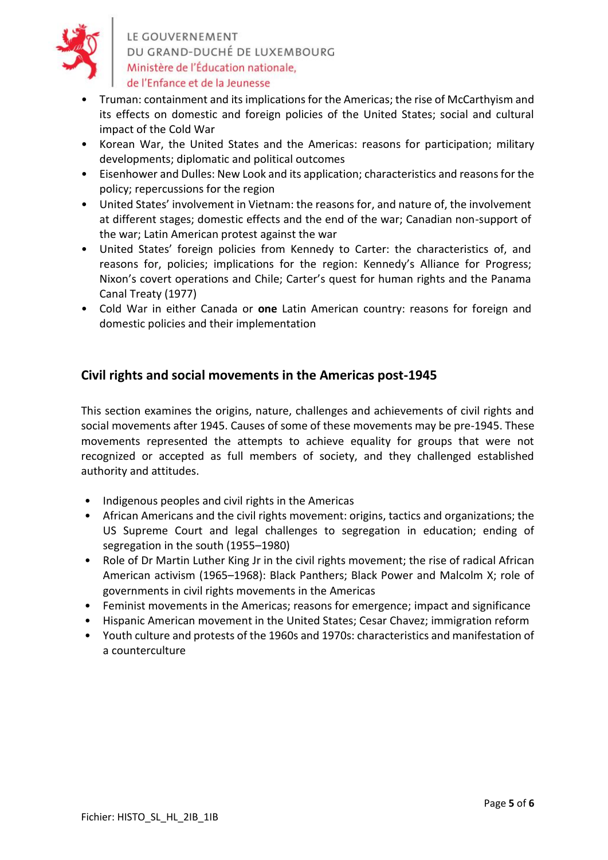

LE GOUVERNEMENT DU GRAND-DUCHÉ DE LUXEMBOURG Ministère de l'Éducation nationale, de l'Enfance et de la Jeunesse

- Truman: containment and its implications for the Americas; the rise of McCarthyism and its effects on domestic and foreign policies of the United States; social and cultural impact of the Cold War
- Korean War, the United States and the Americas: reasons for participation; military developments; diplomatic and political outcomes
- Eisenhower and Dulles: New Look and its application; characteristics and reasons for the policy; repercussions for the region
- United States' involvement in Vietnam: the reasons for, and nature of, the involvement at different stages; domestic effects and the end of the war; Canadian non-support of the war; Latin American protest against the war
- United States' foreign policies from Kennedy to Carter: the characteristics of, and reasons for, policies; implications for the region: Kennedy's Alliance for Progress; Nixon's covert operations and Chile; Carter's quest for human rights and the Panama Canal Treaty (1977)
- Cold War in either Canada or **one** Latin American country: reasons for foreign and domestic policies and their implementation

## **Civil rights and social movements in the Americas post-1945**

This section examines the origins, nature, challenges and achievements of civil rights and social movements after 1945. Causes of some of these movements may be pre-1945. These movements represented the attempts to achieve equality for groups that were not recognized or accepted as full members of society, and they challenged established authority and attitudes.

- Indigenous peoples and civil rights in the Americas
- African Americans and the civil rights movement: origins, tactics and organizations; the US Supreme Court and legal challenges to segregation in education; ending of segregation in the south (1955–1980)
- Role of Dr Martin Luther King Jr in the civil rights movement; the rise of radical African American activism (1965–1968): Black Panthers; Black Power and Malcolm X; role of governments in civil rights movements in the Americas
- Feminist movements in the Americas; reasons for emergence; impact and significance
- Hispanic American movement in the United States; Cesar Chavez; immigration reform
- Youth culture and protests of the 1960s and 1970s: characteristics and manifestation of a counterculture